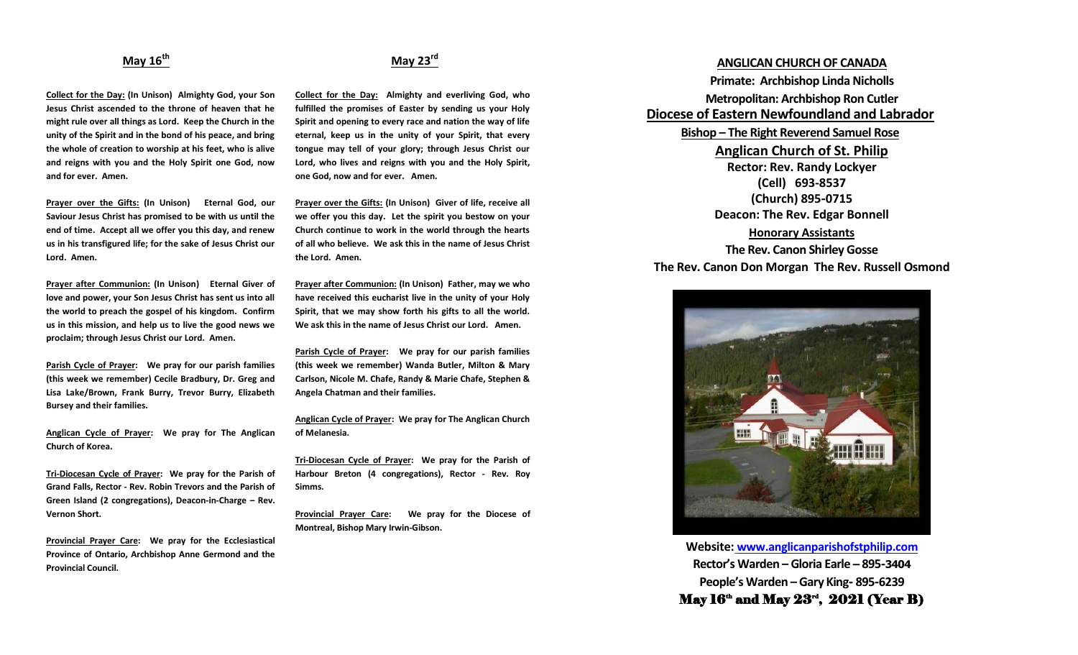### **May 16th**

**Collect for the Day: (In Unison) Almighty God, your Son Jesus Christ ascended to the throne of heaven that he might rule over all things as Lord. Keep the Church in the unity of the Spirit and in the bond of his peace, and bring the whole of creation to worship at his feet, who is alive and reigns with you and the Holy Spirit one God, now and for ever. Amen.**

**Prayer over the Gifts: (In Unison) Eternal God, our Saviour Jesus Christ has promised to be with us until the end of time. Accept all we offer you this day, and renew us in his transfigured life; for the sake of Jesus Christ our Lord. Amen.**

**Prayer after Communion: (In Unison) Eternal Giver of love and power, your Son Jesus Christ has sent us into all the world to preach the gospel of his kingdom. Confirm us in this mission, and help us to live the good news we proclaim; through Jesus Christ our Lord. Amen.**

**Parish Cycle of Prayer: We pray for our parish families (this week we remember) Cecile Bradbury, Dr. Greg and Lisa Lake/Brown, Frank Burry, Trevor Burry, Elizabeth Bursey and their families.**

**Anglican Cycle of Prayer: We pray for The Anglican Church of Korea.**

**Tri-Diocesan Cycle of Prayer: We pray for the Parish of Grand Falls, Rector - Rev. Robin Trevors and the Parish of Green Island (2 congregations), Deacon-in-Charge – Rev. Vernon Short.**

**Provincial Prayer Care: We pray for the Ecclesiastical Province of Ontario, Archbishop Anne Germond and the Provincial Council.**

## **May 23rd**

**Collect for the Day: Almighty and everliving God, who fulfilled the promises of Easter by sending us your Holy Spirit and opening to every race and nation the way of life eternal, keep us in the unity of your Spirit, that every tongue may tell of your glory; through Jesus Christ our Lord, who lives and reigns with you and the Holy Spirit, one God, now and for ever. Amen.** 

**Prayer over the Gifts: (In Unison) Giver of life, receive all we offer you this day. Let the spirit you bestow on your Church continue to work in the world through the hearts of all who believe. We ask this in the name of Jesus Christ the Lord. Amen.**

**Prayer after Communion: (In Unison) Father, may we who have received this eucharist live in the unity of your Holy Spirit, that we may show forth his gifts to all the world. We ask this in the name of Jesus Christ our Lord. Amen.**

**Parish Cycle of Prayer: We pray for our parish families (this week we remember) Wanda Butler, Milton & Mary Carlson, Nicole M. Chafe, Randy & Marie Chafe, Stephen & Angela Chatman and their families.**

**Anglican Cycle of Prayer: We pray for The Anglican Church of Melanesia.**

**Tri-Diocesan Cycle of Prayer: We pray for the Parish of Harbour Breton (4 congregations), Rector - Rev. Roy Simms.**

**Provincial Prayer Care: We pray for the Diocese of Montreal, Bishop Mary Irwin-Gibson.**

# **ANGLICAN CHURCH OF CANADA**

**Primate: Archbishop Linda Nicholls Metropolitan: Archbishop Ron Cutler Diocese of Eastern Newfoundland and Labrador Bishop – The Right Reverend Samuel Rose Anglican Church of St. Philip Rector: Rev. Randy Lockyer (Cell) 693-8537 (Church) 895-0715 Deacon: The Rev. Edgar Bonnell Honorary Assistants**

**The Rev. Canon Shirley Gosse The Rev. Canon Don Morgan The Rev. Russell Osmond**



**Website: [www.anglicanparishofstphilip.com](http://www.anglicanparishofstphilip.com/) Rector's Warden – Gloria Earle – 895-3404 People's Warden – Gary King- 895-6239** May  $16^{\text{th}}$  and May  $23^{\text{rd}}, 2021$  (Year B)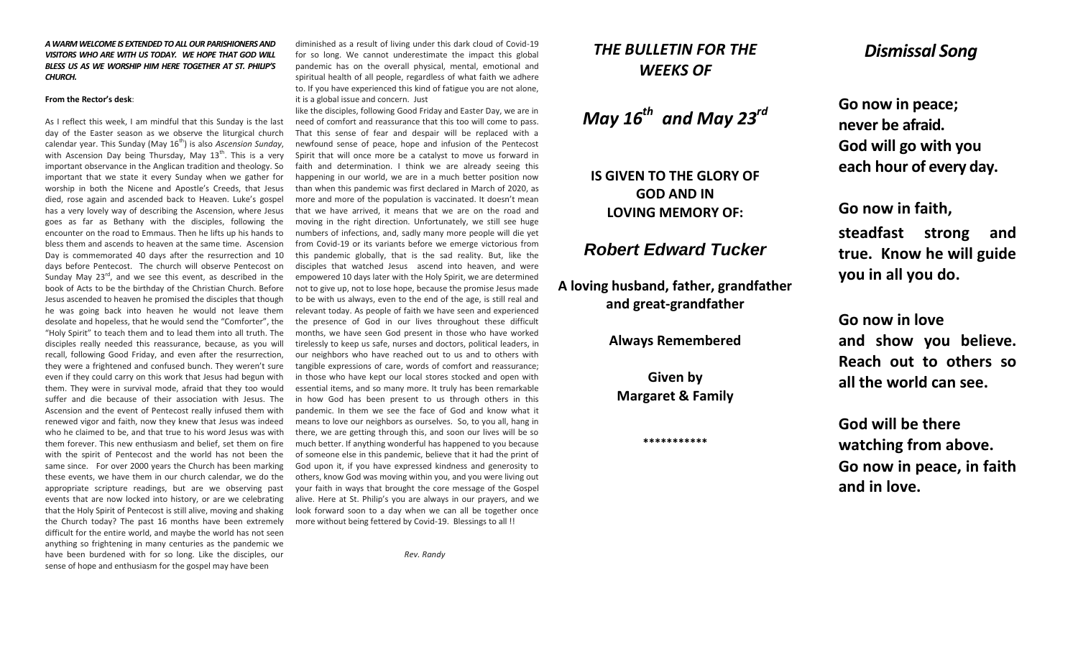#### *A WARM WELCOME IS EXTENDED TO ALL OUR PARISHIONERS AND VISITORS WHO ARE WITH US TODAY. WE HOPE THAT GOD WILL BLESS US AS WE WORSHIP HIM HERE TOGETHER AT ST. PHILIP'S CHURCH.*

#### **From the Rector's desk**:

As I reflect this week, I am mindful that this Sunday is the last day of the Easter season as we observe the liturgical church calendar year. This Sunday (May 16<sup>th</sup>) is also *Ascension Sunday*, with Ascension Day being Thursday, May  $13<sup>th</sup>$ . This is a very important observance in the Anglican tradition and theology. So important that we state it every Sunday when we gather for worship in both the Nicene and Apostle's Creeds, that Jesus died, rose again and ascended back to Heaven. Luke's gospel has a very lovely way of describing the Ascension, where Jesus goes as far as Bethany with the disciples, following the encounter on the road to Emmaus. Then he lifts up his hands to bless them and ascends to heaven at the same time. Ascension Day is commemorated 40 days after the resurrection and 10 days before Pentecost. The church will observe Pentecost on Sunday May  $23^{\text{rd}}$ , and we see this event, as described in the book of Acts to be the birthday of the Christian Church. Before Jesus ascended to heaven he promised the disciples that though he was going back into heaven he would not leave them desolate and hopeless, that he would send the "Comforter", the "Holy Spirit" to teach them and to lead them into all truth. The disciples really needed this reassurance, because, as you will recall, following Good Friday, and even after the resurrection, they were a frightened and confused bunch. They weren't sure even if they could carry on this work that Jesus had begun with them. They were in survival mode, afraid that they too would suffer and die because of their association with Jesus. The Ascension and the event of Pentecost really infused them with renewed vigor and faith, now they knew that Jesus was indeed who he claimed to be, and that true to his word Jesus was with them forever. This new enthusiasm and belief, set them on fire with the spirit of Pentecost and the world has not been the same since. For over 2000 years the Church has been marking these events, we have them in our church calendar, we do the appropriate scripture readings, but are we observing past events that are now locked into history, or are we celebrating that the Holy Spirit of Pentecost is still alive, moving and shaking the Church today? The past 16 months have been extremely difficult for the entire world, and maybe the world has not seen anything so frightening in many centuries as the pandemic we have been burdened with for so long. Like the disciples, our sense of hope and enthusiasm for the gospel may have been

diminished as a result of living under this dark cloud of Covid-19 for so long. We cannot underestimate the impact this global pandemic has on the overall physical, mental, emotional and spiritual health of all people, regardless of what faith we adhere to. If you have experienced this kind of fatigue you are not alone, it is a global issue and concern. Just

like the disciples, following Good Friday and Easter Day, we are in need of comfort and reassurance that this too will come to pass. That this sense of fear and despair will be replaced with a newfound sense of peace, hope and infusion of the Pentecost Spirit that will once more be a catalyst to move us forward in faith and determination. I think we are already seeing this happening in our world, we are in a much better position now than when this pandemic was first declared in March of 2020, as more and more of the population is vaccinated. It doesn't mean that we have arrived, it means that we are on the road and moving in the right direction. Unfortunately, we still see huge numbers of infections, and, sadly many more people will die yet from Covid-19 or its variants before we emerge victorious from this pandemic globally, that is the sad reality. But, like the disciples that watched Jesus ascend into heaven, and were empowered 10 days later with the Holy Spirit, we are determined not to give up, not to lose hope, because the promise Jesus made to be with us always, even to the end of the age, is still real and relevant today. As people of faith we have seen and experienced the presence of God in our lives throughout these difficult months, we have seen God present in those who have worked tirelessly to keep us safe, nurses and doctors, political leaders, in our neighbors who have reached out to us and to others with tangible expressions of care, words of comfort and reassurance; in those who have kept our local stores stocked and open with essential items, and so many more. It truly has been remarkable in how God has been present to us through others in this pandemic. In them we see the face of God and know what it means to love our neighbors as ourselves. So, to you all, hang in there, we are getting through this, and soon our lives will be so much better. If anything wonderful has happened to you because of someone else in this pandemic, believe that it had the print of God upon it, if you have expressed kindness and generosity to others, know God was moving within you, and you were living out your faith in ways that brought the core message of the Gospel alive. Here at St. Philip's you are always in our prayers, and we look forward soon to a day when we can all be together once more without being fettered by Covid-19. Blessings to all !!

*Rev. Randy*

# *THE BULLETIN FOR THE WEEKS OF*

*May 16th and May 23rd*

**IS GIVEN TO THE GLORY OF GOD AND IN LOVING MEMORY OF:**

## *Robert Edward Tucker*

**A loving husband, father, grandfather and great-grandfather**

**Always Remembered**

**Given by Margaret & Family**

**\*\*\*\*\*\*\*\*\*\*\***

## *Dismissal Song*

**Go now in peace; never be afraid. God will go with you each hour of every day.**

**Go now in faith,** 

**steadfast strong and true. Know he will guide you in all you do.**

**Go now in love and show you believe. Reach out to others so all the world can see.**

**God will be there watching from above. Go now in peace, in faith and in love.**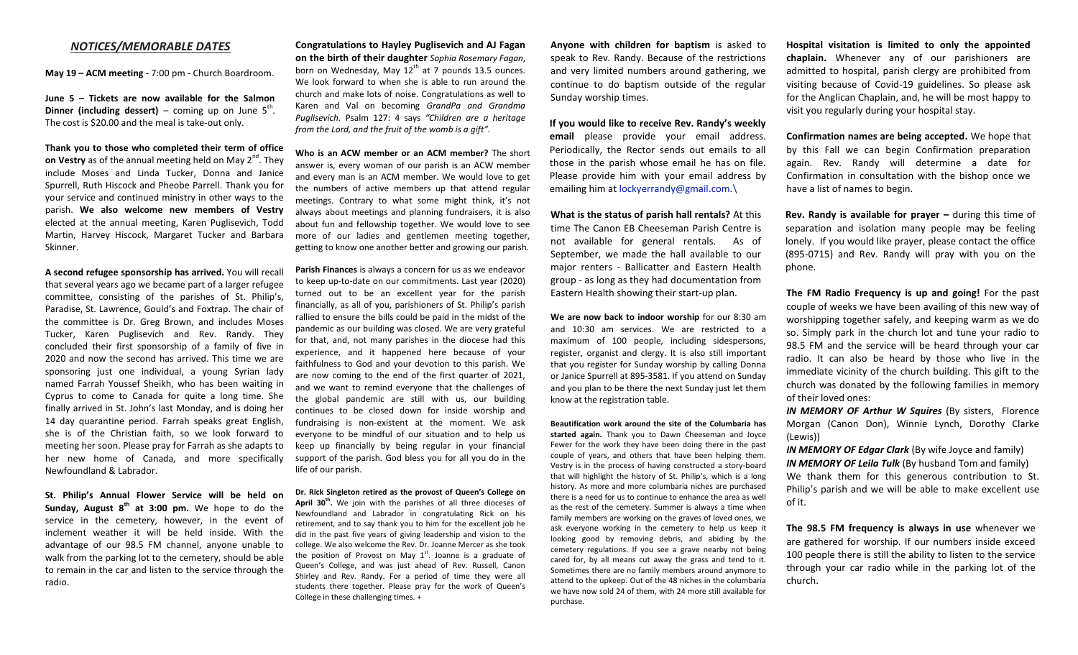#### *NOTICES/MEMORABLE DATES*

**May 19 – ACM meeting** - 7:00 pm - Church Boardroom.

**June 5 – Tickets are now available for the Salmon Dinner (including dessert)** – coming up on June  $5^{th}$ . The cost is \$20.00 and the meal is take-out only.

**Thank you to those who completed their term of office**  on Vestry as of the annual meeting held on May 2<sup>nd</sup>. They include Moses and Linda Tucker, Donna and Janice Spurrell, Ruth Hiscock and Pheobe Parrell. Thank you for your service and continued ministry in other ways to the parish. **We also welcome new members of Vestry** elected at the annual meeting, Karen Puglisevich, Todd Martin, Harvey Hiscock, Margaret Tucker and Barbara Skinner.

**A second refugee sponsorship has arrived.** You will recall that several years ago we became part of a larger refugee committee, consisting of the parishes of St. Philip's, Paradise, St. Lawrence, Gould's and Foxtrap. The chair of the committee is Dr. Greg Brown, and includes Moses Tucker, Karen Puglisevich and Rev. Randy. They concluded their first sponsorship of a family of five in 2020 and now the second has arrived. This time we are sponsoring just one individual, a young Syrian lady named Farrah Youssef Sheikh, who has been waiting in Cyprus to come to Canada for quite a long time. She finally arrived in St. John's last Monday, and is doing her 14 day quarantine period. Farrah speaks great English, she is of the Christian faith, so we look forward to meeting her soon. Please pray for Farrah as she adapts to her new home of Canada, and more specifically Newfoundland & Labrador.

**St. Philip's Annual Flower Service will be held on Sunday, August 8th at 3:00 pm.** We hope to do the service in the cemetery, however, in the event of inclement weather it will be held inside. With the advantage of our 98.5 FM channel, anyone unable to walk from the parking lot to the cemetery, should be able to remain in the car and listen to the service through the radio.

**Congratulations to Hayley Puglisevich and AJ Fagan on the birth of their daughter** *Sophia Rosemary Fagan*, born on Wednesday, May  $12<sup>th</sup>$  at 7 pounds 13.5 ounces. We look forward to when she is able to run around the church and make lots of noise. Congratulations as well to Karen and Val on becoming *GrandPa and Grandma Puglisevich.* Psalm 127: 4 says *"Children are a heritage from the Lord, and the fruit of the womb is a gift".* 

**Who is an ACW member or an ACM member?** The short answer is, every woman of our parish is an ACW member and every man is an ACM member. We would love to get the numbers of active members up that attend regular meetings. Contrary to what some might think, it's not always about meetings and planning fundraisers, it is also about fun and fellowship together. We would love to see more of our ladies and gentlemen meeting together, getting to know one another better and growing our parish.

**Parish Finances** is always a concern for us as we endeavor to keep up-to-date on our commitments. Last year (2020) turned out to be an excellent year for the parish financially, as all of you, parishioners of St. Philip's parish rallied to ensure the bills could be paid in the midst of the pandemic as our building was closed. We are very grateful for that, and, not many parishes in the diocese had this experience, and it happened here because of your faithfulness to God and your devotion to this parish. We are now coming to the end of the first quarter of 2021, and we want to remind everyone that the challenges of the global pandemic are still with us, our building continues to be closed down for inside worship and fundraising is non-existent at the moment. We ask everyone to be mindful of our situation and to help us keep up financially by being regular in your financial support of the parish. God bless you for all you do in the life of our parish.

**Dr. Rick Singleton retired as the provost of Queen's College on**  April 30<sup>th</sup>. We join with the parishes of all three dioceses of Newfoundland and Labrador in congratulating Rick on his retirement, and to say thank you to him for the excellent job he did in the past five years of giving leadership and vision to the college. We also welcome the Rev. Dr. Joanne Mercer as she took the position of Provost on May  $1<sup>st</sup>$ . Joanne is a graduate of Queen's College, and was just ahead of Rev. Russell, Canon Shirley and Rev. Randy. For a period of time they were all students there together. Please pray for the work of Queen's College in these challenging times. +

**Anyone with children for baptism** is asked to speak to Rev. Randy. Because of the restrictions and very limited numbers around gathering, we continue to do baptism outside of the regular Sunday worship times.

**If you would like to receive Rev. Randy's weekly email** please provide your email address. Periodically, the Rector sends out emails to all those in the parish whose email he has on file. Please provide him with your email address by emailing him at [lockyerrandy@gmail.com.\](mailto:lockyerrandy@gmail.com./)

**What is the status of parish hall rentals?** At this time The Canon EB Cheeseman Parish Centre is not available for general rentals. As of September, we made the hall available to our major renters - Ballicatter and Eastern Health group - as long as they had documentation from Eastern Health showing their start-up plan.

**We are now back to indoor worship** for our 8:30 am and 10:30 am services. We are restricted to a maximum of 100 people, including sidespersons, register, organist and clergy. It is also still important that you register for Sunday worship by calling Donna or Janice Spurrell at 895-3581. If you attend on Sunday and you plan to be there the next Sunday just let them know at the registration table.

**Beautification work around the site of the Columbaria has started again.** Thank you to Dawn Cheeseman and Joyce Fewer for the work they have been doing there in the past couple of years, and others that have been helping them. Vestry is in the process of having constructed a story-board that will highlight the history of St. Philip's, which is a long history. As more and more columbaria niches are purchased there is a need for us to continue to enhance the area as well as the rest of the cemetery. Summer is always a time when family members are working on the graves of loved ones, we ask everyone working in the cemetery to help us keep it looking good by removing debris, and abiding by the cemetery regulations. If you see a grave nearby not being cared for, by all means cut away the grass and tend to it. Sometimes there are no family members around anymore to attend to the upkeep. Out of the 48 niches in the columbaria we have now sold 24 of them, with 24 more still available for purchase.

**Hospital visitation is limited to only the appointed chaplain.** Whenever any of our parishioners are admitted to hospital, parish clergy are prohibited from visiting because of Covid-19 guidelines. So please ask for the Anglican Chaplain, and, he will be most happy to visit you regularly during your hospital stay.

**Confirmation names are being accepted.** We hope that by this Fall we can begin Confirmation preparation again. Rev. Randy will determine a date for Confirmation in consultation with the bishop once we have a list of names to begin.

**Rev. Randy is available for prayer –** during this time of separation and isolation many people may be feeling lonely. If you would like prayer, please contact the office (895-0715) and Rev. Randy will pray with you on the phone.

**The FM Radio Frequency is up and going!** For the past couple of weeks we have been availing of this new way of worshipping together safely, and keeping warm as we do so. Simply park in the church lot and tune your radio to 98.5 FM and the service will be heard through your car radio. It can also be heard by those who live in the immediate vicinity of the church building. This gift to the church was donated by the following families in memory of their loved ones:

*IN MEMORY OF Arthur W Squires* (By sisters, Florence Morgan (Canon Don), Winnie Lynch, Dorothy Clarke (Lewis))

*IN MEMORY OF Edgar Clark* (By wife Joyce and family) *IN MEMORY OF Leila Tulk* (By husband Tom and family) We thank them for this generous contribution to St. Philip's parish and we will be able to make excellent use of it.

**The 98.5 FM frequency is always in use** whenever we are gathered for worship. If our numbers inside exceed 100 people there is still the ability to listen to the service through your car radio while in the parking lot of the church.